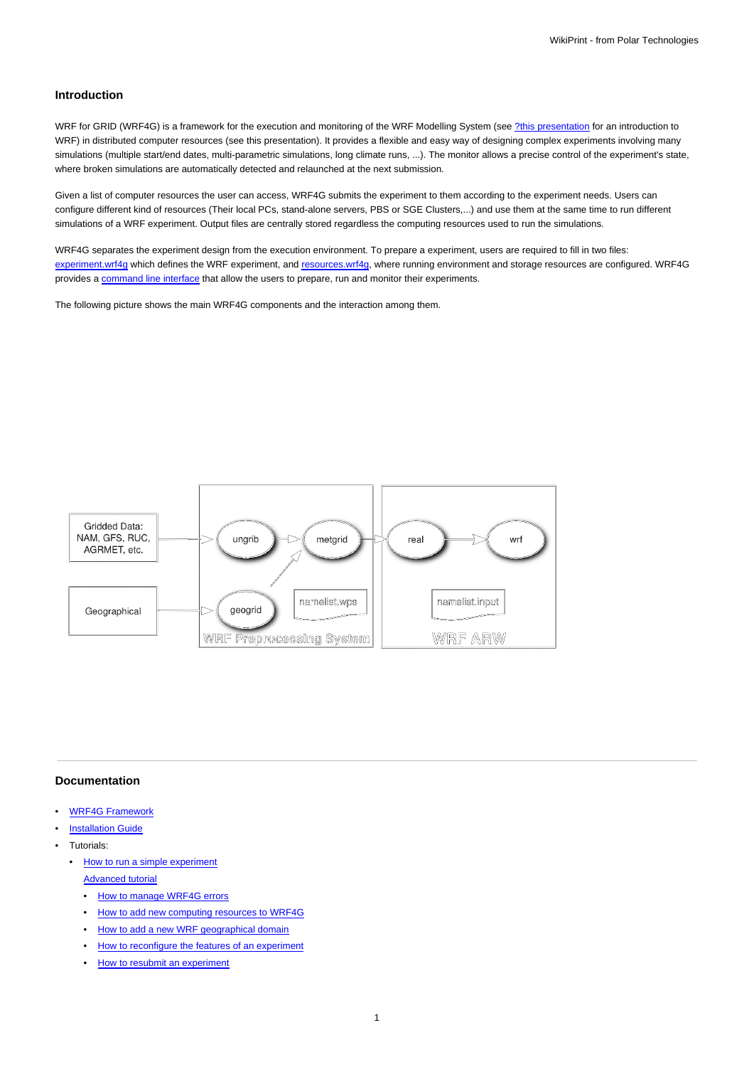## **Introduction**

WRF for GRID (WRF4G) is a framework for the execution and monitoring of the WRF Modelling System (see [?this presentation](http://www.meteo.unican.es/work/2012_Garcia-Diez_VALUE_WRF.pdf) for an introduction to WRF) in distributed computer resources (see this presentation). It provides a flexible and easy way of designing complex experiments involving many simulations (multiple start/end dates, multi-parametric simulations, long climate runs, ...). The monitor allows a precise control of the experiment's state, where broken simulations are automatically detected and relaunched at the next submission.

Given a list of computer resources the user can access, WRF4G submits the experiment to them according to the experiment needs. Users can configure different kind of resources (Their local PCs, stand-alone servers, PBS or SGE Clusters,...) and use them at the same time to run different simulations of a WRF experiment. Output files are centrally stored regardless the computing resources used to run the simulations.

WRF4G separates the experiment design from the execution environment. To prepare a experiment, users are required to fill in two files: [experiment.wrf4g](https://meteo.unican.es/trac/wiki/WRF4Gexperiment_wrf4g) which defines the WRF experiment, and [resources.wrf4g,](https://meteo.unican.es/trac/wiki/WRF4Gresources_wrf4g) where running environment and storage resources are configured. WRF4G provides a [command line interface](https://meteo.unican.es/trac/wiki/WRF4GCommandLineInterface) that allow the users to prepare, run and monitor their experiments.

The following picture shows the main WRF4G components and the interaction among them.



## **Documentation**

- [WRF4G Framework](https://meteo.unican.es/trac/wiki/WRF4GFrameworkConfiguration)
- **[Installation Guide](https://meteo.unican.es/trac/wiki/WRF4GInstall)**
- Tutorials:
	- [How to run a simple experiment](https://meteo.unican.es/trac/wiki/WRF4GTutorial) [Advanced tutorial](https://meteo.unican.es/trac/wiki/WRF4GTutorial2)
		- [How to manage WRF4G errors](https://meteo.unican.es/trac/wiki/WRF4GTutorial2#HowtomanageWRF4Gerrors)
		- [How to add new computing resources to WRF4G](https://meteo.unican.es/trac/wiki/WRF4GTutorial2#HowtoaddnewcomputingresourcestoWRF4G)
		- [How to add a new WRF geographical domain](https://meteo.unican.es/trac/wiki/WRF4GTutorial2#HowtoaddanewWRFgeographicaldomain)
		- [How to reconfigure the features of an experiment](https://meteo.unican.es/trac/wiki/WRF4GTutorial2#Howtoreconfigurethefeaturesofanexperiment)
		- [How to resubmit an experiment](https://meteo.unican.es/trac/wiki/WRF4GTutorial2#Howtoresubmitanexperiment)